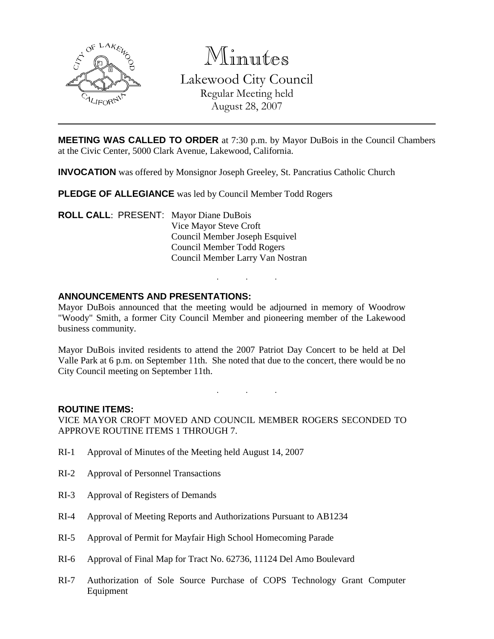

Minutes Lakewood City Council

> Regular Meeting held August 28, 2007

**MEETING WAS CALLED TO ORDER** at 7:30 p.m. by Mayor DuBois in the Council Chambers at the Civic Center, 5000 Clark Avenue, Lakewood, California.

**INVOCATION** was offered by Monsignor Joseph Greeley, St. Pancratius Catholic Church

**PLEDGE OF ALLEGIANCE** was led by Council Member Todd Rogers

**ROLL CALL**: PRESENT: Mayor Diane DuBois Vice Mayor Steve Croft Council Member Joseph Esquivel Council Member Todd Rogers Council Member Larry Van Nostran

# **ANNOUNCEMENTS AND PRESENTATIONS:**

Mayor DuBois announced that the meeting would be adjourned in memory of Woodrow "Woody" Smith, a former City Council Member and pioneering member of the Lakewood business community.

. . .

Mayor DuBois invited residents to attend the 2007 Patriot Day Concert to be held at Del Valle Park at 6 p.m. on September 11th. She noted that due to the concert, there would be no City Council meeting on September 11th.

. . .

#### **ROUTINE ITEMS:**

VICE MAYOR CROFT MOVED AND COUNCIL MEMBER ROGERS SECONDED TO APPROVE ROUTINE ITEMS 1 THROUGH 7.

- RI-1 Approval of Minutes of the Meeting held August 14, 2007
- RI-2 Approval of Personnel Transactions
- RI-3 Approval of Registers of Demands
- RI-4 Approval of Meeting Reports and Authorizations Pursuant to AB1234
- RI-5 Approval of Permit for Mayfair High School Homecoming Parade
- RI-6 Approval of Final Map for Tract No. 62736, 11124 Del Amo Boulevard
- RI-7 Authorization of Sole Source Purchase of COPS Technology Grant Computer Equipment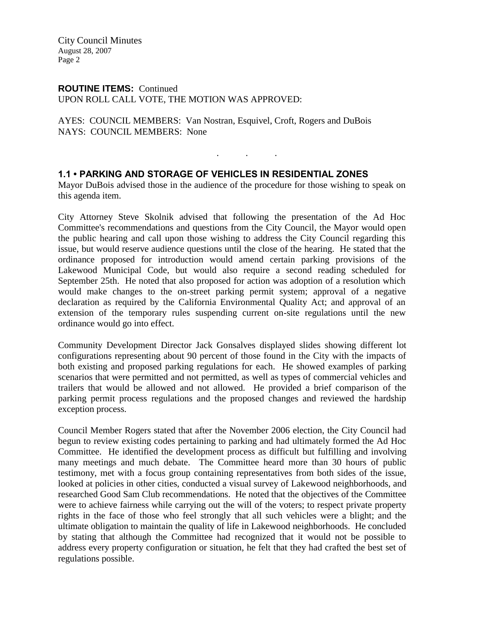City Council Minutes August 28, 2007 Page 2

# **ROUTINE ITEMS:** Continued

UPON ROLL CALL VOTE, THE MOTION WAS APPROVED:

AYES: COUNCIL MEMBERS: Van Nostran, Esquivel, Croft, Rogers and DuBois NAYS: COUNCIL MEMBERS: None

# **1.1 • PARKING AND STORAGE OF VEHICLES IN RESIDENTIAL ZONES**

Mayor DuBois advised those in the audience of the procedure for those wishing to speak on this agenda item.

. . .

City Attorney Steve Skolnik advised that following the presentation of the Ad Hoc Committee's recommendations and questions from the City Council, the Mayor would open the public hearing and call upon those wishing to address the City Council regarding this issue, but would reserve audience questions until the close of the hearing. He stated that the ordinance proposed for introduction would amend certain parking provisions of the Lakewood Municipal Code, but would also require a second reading scheduled for September 25th. He noted that also proposed for action was adoption of a resolution which would make changes to the on-street parking permit system; approval of a negative declaration as required by the California Environmental Quality Act; and approval of an extension of the temporary rules suspending current on-site regulations until the new ordinance would go into effect.

Community Development Director Jack Gonsalves displayed slides showing different lot configurations representing about 90 percent of those found in the City with the impacts of both existing and proposed parking regulations for each. He showed examples of parking scenarios that were permitted and not permitted, as well as types of commercial vehicles and trailers that would be allowed and not allowed. He provided a brief comparison of the parking permit process regulations and the proposed changes and reviewed the hardship exception process.

Council Member Rogers stated that after the November 2006 election, the City Council had begun to review existing codes pertaining to parking and had ultimately formed the Ad Hoc Committee. He identified the development process as difficult but fulfilling and involving many meetings and much debate. The Committee heard more than 30 hours of public testimony, met with a focus group containing representatives from both sides of the issue, looked at policies in other cities, conducted a visual survey of Lakewood neighborhoods, and researched Good Sam Club recommendations. He noted that the objectives of the Committee were to achieve fairness while carrying out the will of the voters; to respect private property rights in the face of those who feel strongly that all such vehicles were a blight; and the ultimate obligation to maintain the quality of life in Lakewood neighborhoods. He concluded by stating that although the Committee had recognized that it would not be possible to address every property configuration or situation, he felt that they had crafted the best set of regulations possible.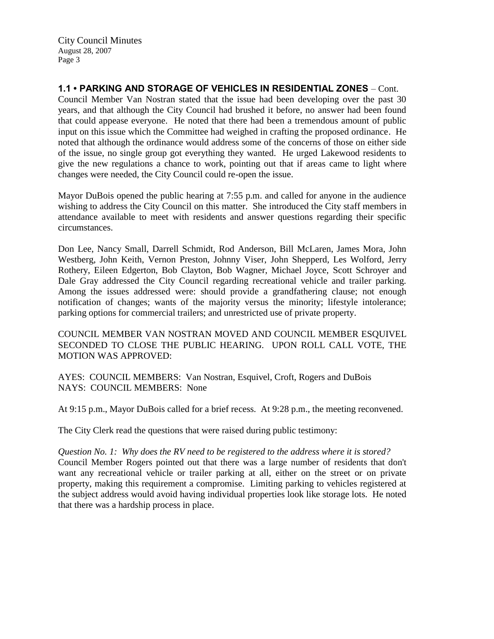City Council Minutes August 28, 2007 Page 3

**1.1 • PARKING AND STORAGE OF VEHICLES IN RESIDENTIAL ZONES** – Cont. Council Member Van Nostran stated that the issue had been developing over the past 30 years, and that although the City Council had brushed it before, no answer had been found that could appease everyone. He noted that there had been a tremendous amount of public input on this issue which the Committee had weighed in crafting the proposed ordinance. He noted that although the ordinance would address some of the concerns of those on either side of the issue, no single group got everything they wanted. He urged Lakewood residents to give the new regulations a chance to work, pointing out that if areas came to light where changes were needed, the City Council could re-open the issue.

Mayor DuBois opened the public hearing at 7:55 p.m. and called for anyone in the audience wishing to address the City Council on this matter. She introduced the City staff members in attendance available to meet with residents and answer questions regarding their specific circumstances.

Don Lee, Nancy Small, Darrell Schmidt, Rod Anderson, Bill McLaren, James Mora, John Westberg, John Keith, Vernon Preston, Johnny Viser, John Shepperd, Les Wolford, Jerry Rothery, Eileen Edgerton, Bob Clayton, Bob Wagner, Michael Joyce, Scott Schroyer and Dale Gray addressed the City Council regarding recreational vehicle and trailer parking. Among the issues addressed were: should provide a grandfathering clause; not enough notification of changes; wants of the majority versus the minority; lifestyle intolerance; parking options for commercial trailers; and unrestricted use of private property.

COUNCIL MEMBER VAN NOSTRAN MOVED AND COUNCIL MEMBER ESQUIVEL SECONDED TO CLOSE THE PUBLIC HEARING. UPON ROLL CALL VOTE, THE MOTION WAS APPROVED:

AYES: COUNCIL MEMBERS: Van Nostran, Esquivel, Croft, Rogers and DuBois NAYS: COUNCIL MEMBERS: None

At 9:15 p.m., Mayor DuBois called for a brief recess. At 9:28 p.m., the meeting reconvened.

The City Clerk read the questions that were raised during public testimony:

*Question No. 1: Why does the RV need to be registered to the address where it is stored?* Council Member Rogers pointed out that there was a large number of residents that don't want any recreational vehicle or trailer parking at all, either on the street or on private property, making this requirement a compromise. Limiting parking to vehicles registered at the subject address would avoid having individual properties look like storage lots. He noted that there was a hardship process in place.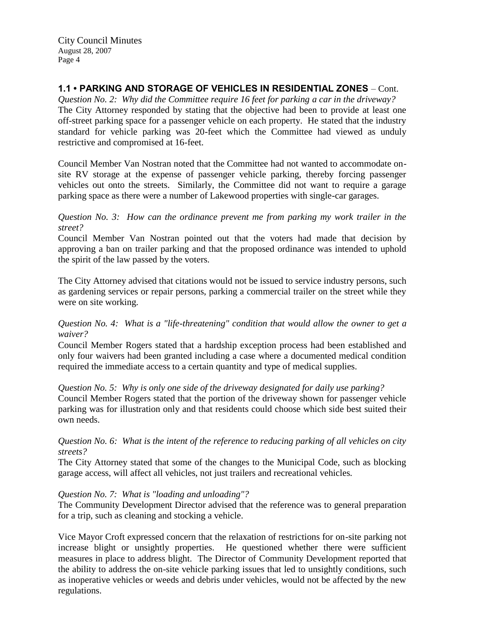# **1.1 • PARKING AND STORAGE OF VEHICLES IN RESIDENTIAL ZONES** – Cont.

*Question No. 2: Why did the Committee require 16 feet for parking a car in the driveway?* The City Attorney responded by stating that the objective had been to provide at least one off-street parking space for a passenger vehicle on each property. He stated that the industry standard for vehicle parking was 20-feet which the Committee had viewed as unduly restrictive and compromised at 16-feet.

Council Member Van Nostran noted that the Committee had not wanted to accommodate onsite RV storage at the expense of passenger vehicle parking, thereby forcing passenger vehicles out onto the streets. Similarly, the Committee did not want to require a garage parking space as there were a number of Lakewood properties with single-car garages.

#### *Question No. 3: How can the ordinance prevent me from parking my work trailer in the street?*

Council Member Van Nostran pointed out that the voters had made that decision by approving a ban on trailer parking and that the proposed ordinance was intended to uphold the spirit of the law passed by the voters.

The City Attorney advised that citations would not be issued to service industry persons, such as gardening services or repair persons, parking a commercial trailer on the street while they were on site working.

#### *Question No. 4: What is a "life-threatening" condition that would allow the owner to get a waiver?*

Council Member Rogers stated that a hardship exception process had been established and only four waivers had been granted including a case where a documented medical condition required the immediate access to a certain quantity and type of medical supplies.

*Question No. 5: Why is only one side of the driveway designated for daily use parking?* Council Member Rogers stated that the portion of the driveway shown for passenger vehicle parking was for illustration only and that residents could choose which side best suited their own needs.

#### *Question No. 6: What is the intent of the reference to reducing parking of all vehicles on city streets?*

The City Attorney stated that some of the changes to the Municipal Code, such as blocking garage access, will affect all vehicles, not just trailers and recreational vehicles.

#### *Question No. 7: What is "loading and unloading"?*

The Community Development Director advised that the reference was to general preparation for a trip, such as cleaning and stocking a vehicle.

Vice Mayor Croft expressed concern that the relaxation of restrictions for on-site parking not increase blight or unsightly properties. He questioned whether there were sufficient measures in place to address blight. The Director of Community Development reported that the ability to address the on-site vehicle parking issues that led to unsightly conditions, such as inoperative vehicles or weeds and debris under vehicles, would not be affected by the new regulations.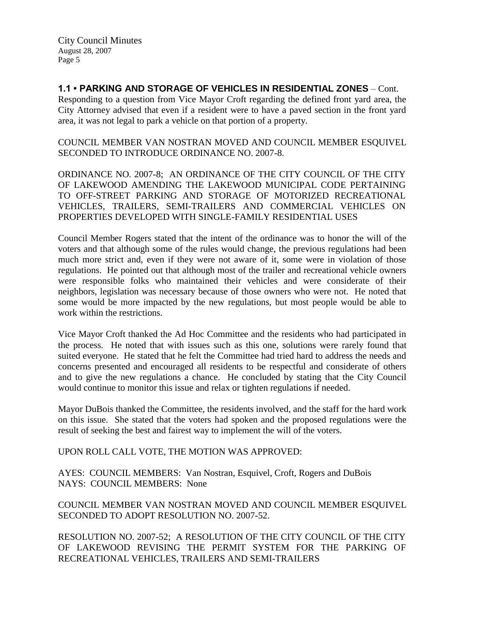**1.1 • PARKING AND STORAGE OF VEHICLES IN RESIDENTIAL ZONES** – Cont. Responding to a question from Vice Mayor Croft regarding the defined front yard area, the City Attorney advised that even if a resident were to have a paved section in the front yard area, it was not legal to park a vehicle on that portion of a property.

COUNCIL MEMBER VAN NOSTRAN MOVED AND COUNCIL MEMBER ESQUIVEL SECONDED TO INTRODUCE ORDINANCE NO. 2007-8.

ORDINANCE NO. 2007-8; AN ORDINANCE OF THE CITY COUNCIL OF THE CITY OF LAKEWOOD AMENDING THE LAKEWOOD MUNICIPAL CODE PERTAINING TO OFF-STREET PARKING AND STORAGE OF MOTORIZED RECREATIONAL VEHICLES, TRAILERS, SEMI-TRAILERS AND COMMERCIAL VEHICLES ON PROPERTIES DEVELOPED WITH SINGLE-FAMILY RESIDENTIAL USES

Council Member Rogers stated that the intent of the ordinance was to honor the will of the voters and that although some of the rules would change, the previous regulations had been much more strict and, even if they were not aware of it, some were in violation of those regulations. He pointed out that although most of the trailer and recreational vehicle owners were responsible folks who maintained their vehicles and were considerate of their neighbors, legislation was necessary because of those owners who were not. He noted that some would be more impacted by the new regulations, but most people would be able to work within the restrictions.

Vice Mayor Croft thanked the Ad Hoc Committee and the residents who had participated in the process. He noted that with issues such as this one, solutions were rarely found that suited everyone. He stated that he felt the Committee had tried hard to address the needs and concerns presented and encouraged all residents to be respectful and considerate of others and to give the new regulations a chance. He concluded by stating that the City Council would continue to monitor this issue and relax or tighten regulations if needed.

Mayor DuBois thanked the Committee, the residents involved, and the staff for the hard work on this issue. She stated that the voters had spoken and the proposed regulations were the result of seeking the best and fairest way to implement the will of the voters.

# UPON ROLL CALL VOTE, THE MOTION WAS APPROVED:

AYES: COUNCIL MEMBERS: Van Nostran, Esquivel, Croft, Rogers and DuBois NAYS: COUNCIL MEMBERS: None

COUNCIL MEMBER VAN NOSTRAN MOVED AND COUNCIL MEMBER ESQUIVEL SECONDED TO ADOPT RESOLUTION NO. 2007-52.

RESOLUTION NO. 2007-52; A RESOLUTION OF THE CITY COUNCIL OF THE CITY OF LAKEWOOD REVISING THE PERMIT SYSTEM FOR THE PARKING OF RECREATIONAL VEHICLES, TRAILERS AND SEMI-TRAILERS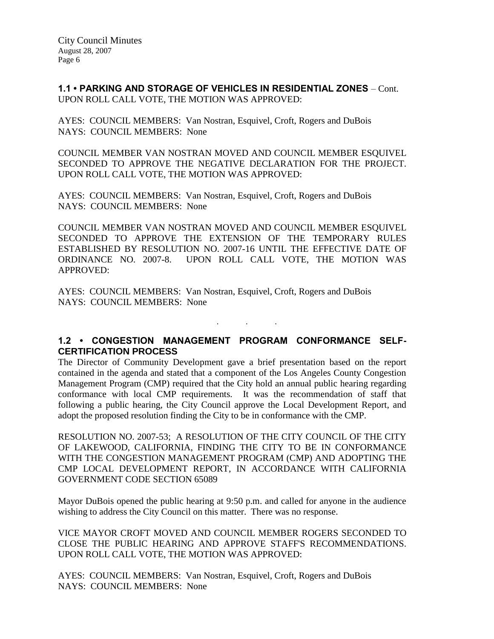**1.1 • PARKING AND STORAGE OF VEHICLES IN RESIDENTIAL ZONES** – Cont. UPON ROLL CALL VOTE, THE MOTION WAS APPROVED:

AYES: COUNCIL MEMBERS: Van Nostran, Esquivel, Croft, Rogers and DuBois NAYS: COUNCIL MEMBERS: None

COUNCIL MEMBER VAN NOSTRAN MOVED AND COUNCIL MEMBER ESQUIVEL SECONDED TO APPROVE THE NEGATIVE DECLARATION FOR THE PROJECT. UPON ROLL CALL VOTE, THE MOTION WAS APPROVED:

AYES: COUNCIL MEMBERS: Van Nostran, Esquivel, Croft, Rogers and DuBois NAYS: COUNCIL MEMBERS: None

COUNCIL MEMBER VAN NOSTRAN MOVED AND COUNCIL MEMBER ESQUIVEL SECONDED TO APPROVE THE EXTENSION OF THE TEMPORARY RULES ESTABLISHED BY RESOLUTION NO. 2007-16 UNTIL THE EFFECTIVE DATE OF ORDINANCE NO. 2007-8. UPON ROLL CALL VOTE, THE MOTION WAS APPROVED:

AYES: COUNCIL MEMBERS: Van Nostran, Esquivel, Croft, Rogers and DuBois NAYS: COUNCIL MEMBERS: None

# **1.2 • CONGESTION MANAGEMENT PROGRAM CONFORMANCE SELF-CERTIFICATION PROCESS**

. . .

The Director of Community Development gave a brief presentation based on the report contained in the agenda and stated that a component of the Los Angeles County Congestion Management Program (CMP) required that the City hold an annual public hearing regarding conformance with local CMP requirements. It was the recommendation of staff that following a public hearing, the City Council approve the Local Development Report, and adopt the proposed resolution finding the City to be in conformance with the CMP.

RESOLUTION NO. 2007-53; A RESOLUTION OF THE CITY COUNCIL OF THE CITY OF LAKEWOOD, CALIFORNIA, FINDING THE CITY TO BE IN CONFORMANCE WITH THE CONGESTION MANAGEMENT PROGRAM (CMP) AND ADOPTING THE CMP LOCAL DEVELOPMENT REPORT, IN ACCORDANCE WITH CALIFORNIA GOVERNMENT CODE SECTION 65089

Mayor DuBois opened the public hearing at 9:50 p.m. and called for anyone in the audience wishing to address the City Council on this matter. There was no response.

VICE MAYOR CROFT MOVED AND COUNCIL MEMBER ROGERS SECONDED TO CLOSE THE PUBLIC HEARING AND APPROVE STAFF'S RECOMMENDATIONS. UPON ROLL CALL VOTE, THE MOTION WAS APPROVED:

AYES: COUNCIL MEMBERS: Van Nostran, Esquivel, Croft, Rogers and DuBois NAYS: COUNCIL MEMBERS: None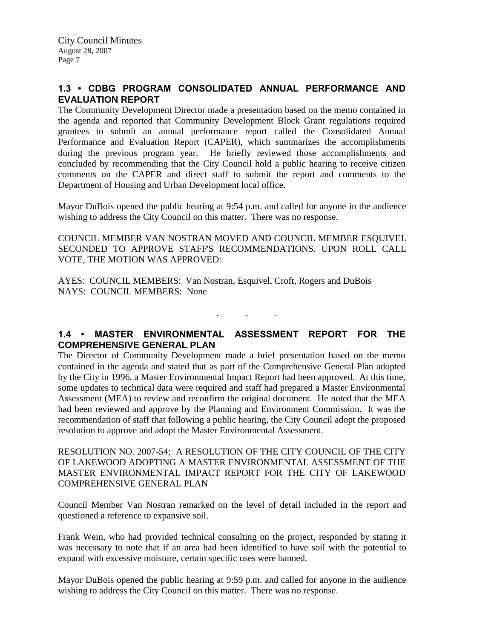# **1.3 • CDBG PROGRAM CONSOLIDATED ANNUAL PERFORMANCE AND EVALUATION REPORT**

The Community Development Director made a presentation based on the memo contained in the agenda and reported that Community Development Block Grant regulations required grantees to submit an annual performance report called the Consolidated Annual Performance and Evaluation Report (CAPER), which summarizes the accomplishments during the previous program year. He briefly reviewed those accomplishments and concluded by recommending that the City Council hold a public hearing to receive citizen comments on the CAPER and direct staff to submit the report and comments to the Department of Housing and Urban Development local office.

Mayor DuBois opened the public hearing at 9:54 p.m. and called for anyone in the audience wishing to address the City Council on this matter. There was no response.

COUNCIL MEMBER VAN NOSTRAN MOVED AND COUNCIL MEMBER ESQUIVEL SECONDED TO APPROVE STAFF'S RECOMMENDATIONS. UPON ROLL CALL VOTE, THE MOTION WAS APPROVED:

AYES: COUNCIL MEMBERS: Van Nostran, Esquivel, Croft, Rogers and DuBois NAYS: COUNCIL MEMBERS: None

**1.4 • MASTER ENVIRONMENTAL ASSESSMENT REPORT FOR THE COMPREHENSIVE GENERAL PLAN**

. . .

The Director of Community Development made a brief presentation based on the memo contained in the agenda and stated that as part of the Comprehensive General Plan adopted by the City in 1996, a Master Environmental Impact Report had been approved. At this time, some updates to technical data were required and staff had prepared a Master Environmental Assessment (MEA) to review and reconfirm the original document. He noted that the MEA had been reviewed and approve by the Planning and Environment Commission. It was the recommendation of staff that following a public hearing, the City Council adopt the proposed resolution to approve and adopt the Master Environmental Assessment.

RESOLUTION NO. 2007-54; A RESOLUTION OF THE CITY COUNCIL OF THE CITY OF LAKEWOOD ADOPTING A MASTER ENVIRONMENTAL ASSESSMENT OF THE MASTER ENVIRONMENTAL IMPACT REPORT FOR THE CITY OF LAKEWOOD COMPREHENSIVE GENERAL PLAN

Council Member Van Nostran remarked on the level of detail included in the report and questioned a reference to expansive soil.

Frank Wein, who had provided technical consulting on the project, responded by stating it was necessary to note that if an area had been identified to have soil with the potential to expand with excessive moisture, certain specific uses were banned.

Mayor DuBois opened the public hearing at 9:59 p.m. and called for anyone in the audience wishing to address the City Council on this matter. There was no response.